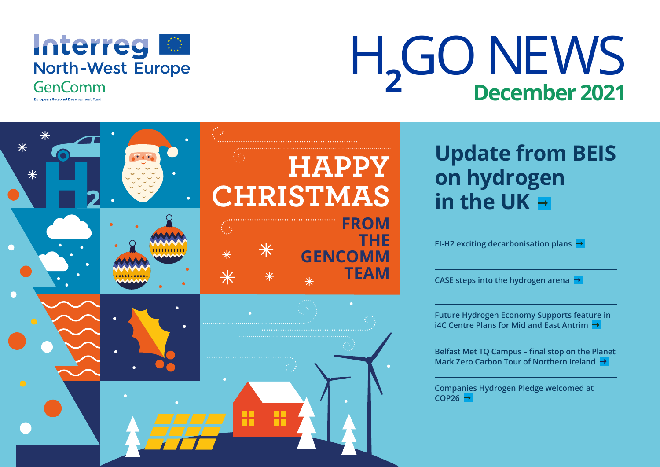

H<sub>2</sub>GO NEWS **December 2021**

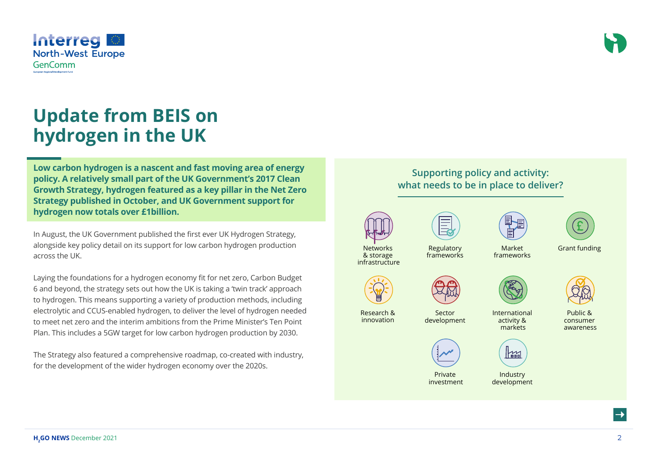

### **Update from BEIS on hydrogen in the UK**

**Low carbon hydrogen is a nascent and fast moving area of energy policy. A relatively small part of the UK Government's 2017 Clean Growth Strategy, hydrogen featured as a key pillar in the Net Zero Strategy published in October, and UK Government support for hydrogen now totals over £1billion.**

In August, the UK Government published the first ever UK Hydrogen Strategy, alongside key policy detail on its support for low carbon hydrogen production across the UK.

Laying the foundations for a hydrogen economy fit for net zero, Carbon Budget 6 and beyond, the strategy sets out how the UK is taking a 'twin track' approach to hydrogen. This means supporting a variety of production methods, including electrolytic and CCUS-enabled hydrogen, to deliver the level of hydrogen needed to meet net zero and the interim ambitions from the Prime Minister's Ten Point Plan. This includes a 5GW target for low carbon hydrogen production by 2030.

The Strategy also featured a comprehensive roadmap, co-created with industry, for the development of the wider hydrogen economy over the 2020s.

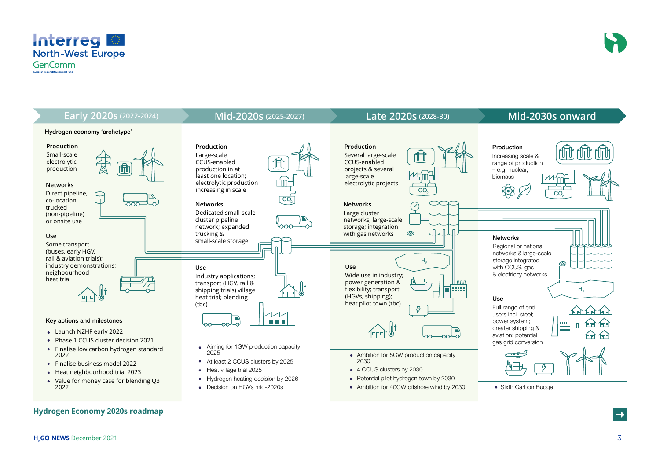



#### **Hydrogen Economy 2020s roadmap**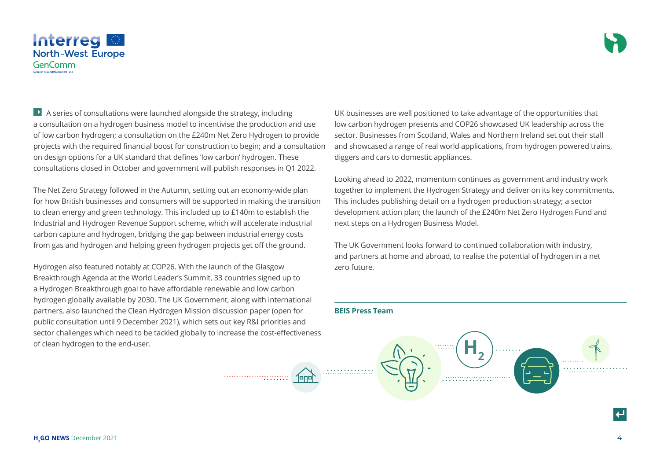

 $\rightarrow$  A series of consultations were launched alongside the strategy, including a consultation on a hydrogen business model to incentivise the production and use of low carbon hydrogen; a consultation on the £240m Net Zero Hydrogen to provide projects with the required financial boost for construction to begin; and a consultation on design options for a UK standard that defines 'low carbon' hydrogen. These consultations closed in October and government will publish responses in Q1 2022.

The Net Zero Strategy followed in the Autumn, setting out an economy-wide plan for how British businesses and consumers will be supported in making the transition to clean energy and green technology. This included up to £140m to establish the Industrial and Hydrogen Revenue Support scheme, which will accelerate industrial carbon capture and hydrogen, bridging the gap between industrial energy costs from gas and hydrogen and helping green hydrogen projects get off the ground.

Hydrogen also featured notably at COP26. With the launch of the Glasgow Breakthrough Agenda at the World Leader's Summit, 33 countries signed up to a Hydrogen Breakthrough goal to have affordable renewable and low carbon hydrogen globally available by 2030. The UK Government, along with international partners, also launched the Clean Hydrogen Mission discussion paper (open for public consultation until 9 December 2021), which sets out key R&I priorities and sector challenges which need to be tackled globally to increase the cost-effectiveness of clean hydrogen to the end-user.

UK businesses are well positioned to take advantage of the opportunities that low carbon hydrogen presents and COP26 showcased UK leadership across the sector. Businesses from Scotland, Wales and Northern Ireland set out their stall and showcased a range of real world applications, from hydrogen powered trains, diggers and cars to domestic appliances.

Looking ahead to 2022, momentum continues as government and industry work together to implement the Hydrogen Strategy and deliver on its key commitments. This includes publishing detail on a hydrogen production strategy; a sector development action plan; the launch of the £240m Net Zero Hydrogen Fund and next steps on a Hydrogen Business Model.

The UK Government looks forward to continued collaboration with industry, and partners at home and abroad, to realise the potential of hydrogen in a net zero future.

#### **BEIS Press Team**

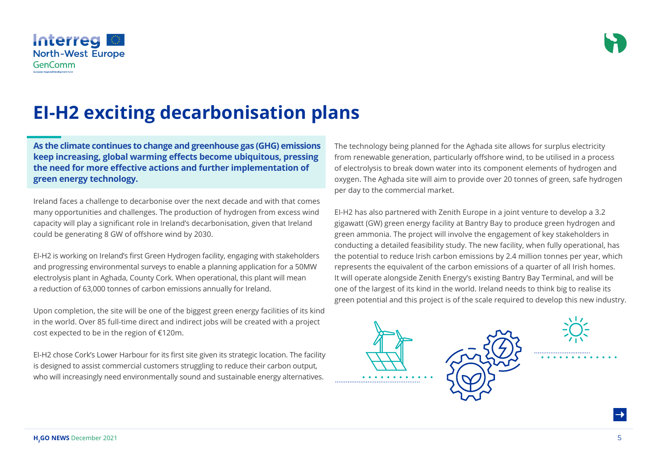

### **EI-H2 exciting decarbonisation plans**

**As the climate continues to change and greenhouse gas (GHG) emissions keep increasing, global warming effects become ubiquitous, pressing the need for more effective actions and further implementation of green energy technology.**

Ireland faces a challenge to decarbonise over the next decade and with that comes many opportunities and challenges. The production of hydrogen from excess wind capacity will play a significant role in Ireland's decarbonisation, given that Ireland could be generating 8 GW of offshore wind by 2030.

EI-H2 is working on Ireland's first Green Hydrogen facility, engaging with stakeholders and progressing environmental surveys to enable a planning application for a 50MW electrolysis plant in Aghada, County Cork. When operational, this plant will mean a reduction of 63,000 tonnes of carbon emissions annually for Ireland.

Upon completion, the site will be one of the biggest green energy facilities of its kind in the world. Over 85 full-time direct and indirect jobs will be created with a project cost expected to be in the region of €120m.

EI-H2 chose Cork's Lower Harbour for its first site given its strategic location. The facility is designed to assist commercial customers struggling to reduce their carbon output, who will increasingly need environmentally sound and sustainable energy alternatives.

The technology being planned for the Aghada site allows for surplus electricity from renewable generation, particularly offshore wind, to be utilised in a process of electrolysis to break down water into its component elements of hydrogen and oxygen. The Aghada site will aim to provide over 20 tonnes of green, safe hydrogen per day to the commercial market.

EI-H2 has also partnered with Zenith Europe in a joint venture to develop a 3.2 gigawatt (GW) green energy facility at Bantry Bay to produce green hydrogen and green ammonia. The project will involve the engagement of key stakeholders in conducting a detailed feasibility study. The new facility, when fully operational, has the potential to reduce Irish carbon emissions by 2.4 million tonnes per year, which represents the equivalent of the carbon emissions of a quarter of all Irish homes. It will operate alongside Zenith Energy's existing Bantry Bay Terminal, and will be one of the largest of its kind in the world. Ireland needs to think big to realise its green potential and this project is of the scale required to develop this new industry.







**H<sub>2</sub>GO NEWS** December 2021 **2008**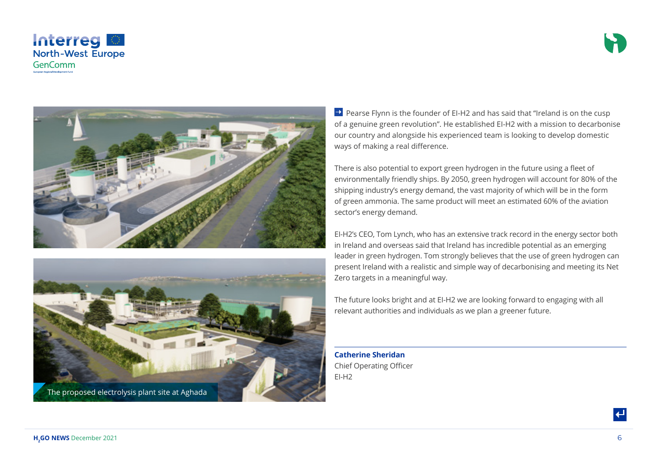







 $\rightarrow$  Pearse Flynn is the founder of EI-H2 and has said that "Ireland is on the cusp of a genuine green revolution". He established EI-H2 with a mission to decarbonise our country and alongside his experienced team is looking to develop domestic ways of making a real difference.

There is also potential to export green hydrogen in the future using a fleet of environmentally friendly ships. By 2050, green hydrogen will account for 80% of the shipping industry's energy demand, the vast majority of which will be in the form of green ammonia. The same product will meet an estimated 60% of the aviation sector's energy demand.

EI-H2's CEO, Tom Lynch, who has an extensive track record in the energy sector both in Ireland and overseas said that Ireland has incredible potential as an emerging leader in green hydrogen. Tom strongly believes that the use of green hydrogen can present Ireland with a realistic and simple way of decarbonising and meeting its Net Zero targets in a meaningful way.

The future looks bright and at EI-H2 we are looking forward to engaging with all relevant authorities and individuals as we plan a greener future.

**Catherine Sheridan** Chief Operating Officer EI-H2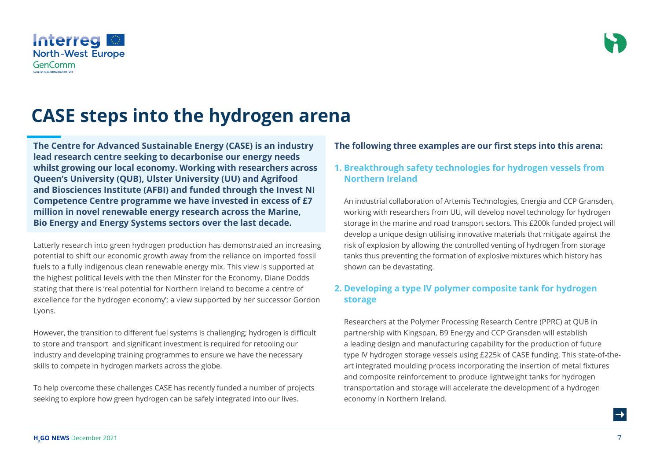**CASE steps into the hydrogen arena**

**The Centre for Advanced Sustainable Energy (CASE) is an industry lead research centre seeking to decarbonise our energy needs whilst growing our local economy. Working with researchers across Queen's University (QUB), Ulster University (UU) and Agrifood and Biosciences Institute (AFBI) and funded through the Invest NI Competence Centre programme we have invested in excess of £7 million in novel renewable energy research across the Marine, Bio Energy and Energy Systems sectors over the last decade.**

Latterly research into green hydrogen production has demonstrated an increasing potential to shift our economic growth away from the reliance on imported fossil fuels to a fully indigenous clean renewable energy mix. This view is supported at the highest political levels with the then Minster for the Economy, Diane Dodds stating that there is 'real potential for Northern Ireland to become a centre of excellence for the hydrogen economy'; a view supported by her successor Gordon Lyons.

However, the transition to different fuel systems is challenging; hydrogen is difficult to store and transport and significant investment is required for retooling our industry and developing training programmes to ensure we have the necessary skills to compete in hydrogen markets across the globe.

To help overcome these challenges CASE has recently funded a number of projects seeking to explore how green hydrogen can be safely integrated into our lives.

#### **The following three examples are our first steps into this arena:**

#### **1. Breakthrough safety technologies for hydrogen vessels from Northern Ireland**

An industrial collaboration of Artemis Technologies, Energia and CCP Gransden, working with researchers from UU, will develop novel technology for hydrogen storage in the marine and road transport sectors. This £200k funded project will develop a unique design utilising innovative materials that mitigate against the risk of explosion by allowing the controlled venting of hydrogen from storage tanks thus preventing the formation of explosive mixtures which history has shown can be devastating.

#### **2. Developing a type IV polymer composite tank for hydrogen storage**

Researchers at the Polymer Processing Research Centre (PPRC) at QUB in partnership with Kingspan, B9 Energy and CCP Gransden will establish a leading design and manufacturing capability for the production of future type IV hydrogen storage vessels using £225k of CASE funding. This state-of-theart integrated moulding process incorporating the insertion of metal fixtures and composite reinforcement to produce lightweight tanks for hydrogen transportation and storage will accelerate the development of a hydrogen economy in Northern Ireland.

#### Interreg **North-West Europe GenComm**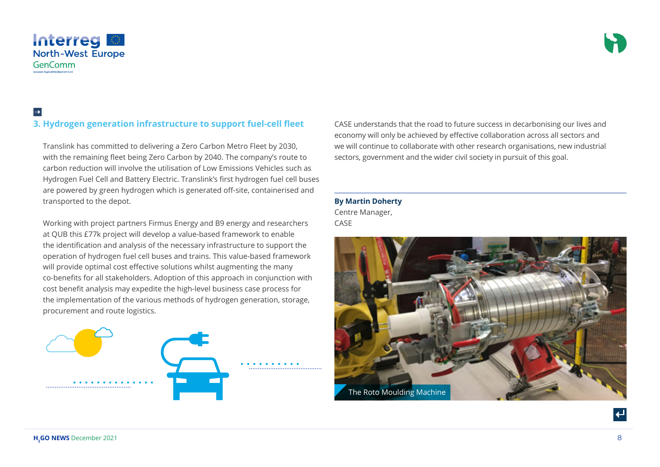

### $\rightarrow$

#### **3. Hydrogen generation infrastructure to support fuel-cell fleet**

Translink has committed to delivering a Zero Carbon Metro Fleet by 2030, with the remaining fleet being Zero Carbon by 2040. The company's route to carbon reduction will involve the utilisation of Low Emissions Vehicles such as Hydrogen Fuel Cell and Battery Electric. Translink's first hydrogen fuel cell buses are powered by green hydrogen which is generated off-site, containerised and transported to the depot.  

Working with project partners Firmus Energy and B9 energy and researchers at QUB this £77k project will develop a value-based framework to enable the identification and analysis of the necessary infrastructure to support the operation of hydrogen fuel cell buses and trains. This value-based framework will provide optimal cost effective solutions whilst augmenting the many co-benefits for all stakeholders. Adoption of this approach in conjunction with cost benefit analysis may expedite the high-level business case process for the implementation of the various methods of hydrogen generation, storage, procurement and route logistics.



CASE understands that the road to future success in decarbonising our lives and economy will only be achieved by effective collaboration across all sectors and we will continue to collaborate with other research organisations, new industrial sectors, government and the wider civil society in pursuit of this goal.

**By Martin Doherty**  Centre Manager, CASE

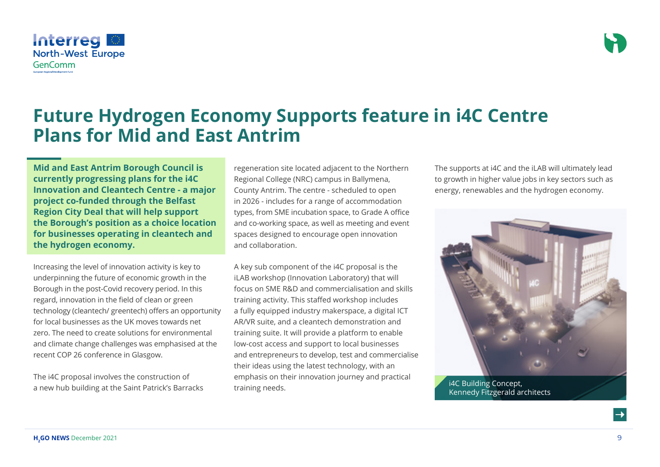**Mid and East Antrim Borough Council is currently progressing plans for the i4C Innovation and Cleantech Centre - a major project co-funded through the Belfast Region City Deal that will help support the Borough's position as a choice location for businesses operating in cleantech and the hydrogen economy.**

**Plans for Mid and East Antrim**

Increasing the level of innovation activity is key to underpinning the future of economic growth in the Borough in the post-Covid recovery period. In this regard, innovation in the field of clean or green technology (cleantech/ greentech) offers an opportunity for local businesses as the UK moves towards net zero. The need to create solutions for environmental and climate change challenges was emphasised at the recent COP 26 conference in Glasgow.

The i4C proposal involves the construction of a new hub building at the Saint Patrick's Barracks

regeneration site located adjacent to the Northern Regional College (NRC) campus in Ballymena, County Antrim. The centre - scheduled to open in 2026 - includes for a range of accommodation types, from SME incubation space, to Grade A office and co-working space, as well as meeting and event spaces designed to encourage open innovation and collaboration.

**Future Hydrogen Economy Supports feature in i4C Centre** 

A key sub component of the i4C proposal is the iLAB workshop (Innovation Laboratory) that will focus on SME R&D and commercialisation and skills training activity. This staffed workshop includes a fully equipped industry makerspace, a digital ICT AR/VR suite, and a cleantech demonstration and training suite. It will provide a platform to enable low-cost access and support to local businesses and entrepreneurs to develop, test and commercialise their ideas using the latest technology, with an emphasis on their innovation journey and practical training needs.

The supports at i4C and the iLAB will ultimately lead to growth in higher value jobs in key sectors such as energy, renewables and the hydrogen economy.



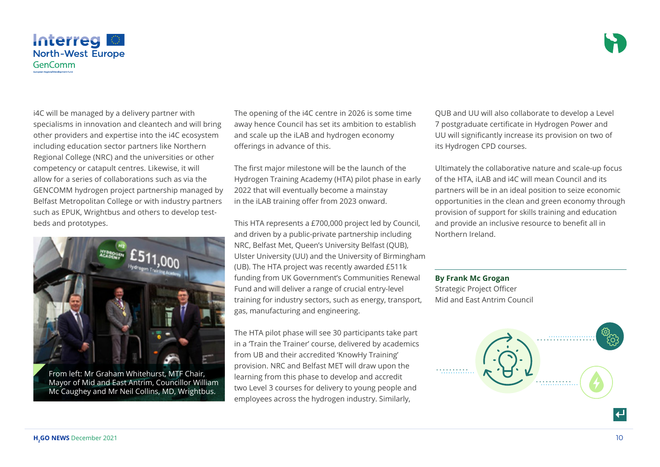

i4C will be managed by a delivery partner with specialisms in innovation and cleantech and will bring other providers and expertise into the i4C ecosystem including education sector partners like Northern Regional College (NRC) and the universities or other competency or catapult centres. Likewise, it will allow for a series of collaborations such as via the GENCOMM hydrogen project partnership managed by Belfast Metropolitan College or with industry partners such as EPUK, Wrightbus and others to develop testbeds and prototypes.



Mayor of Mid and East Antrim, Councillor William Mc Caughey and Mr Neil Collins, MD, Wrightbus.

The opening of the i4C centre in 2026 is some time away hence Council has set its ambition to establish and scale up the iLAB and hydrogen economy offerings in advance of this.

The first major milestone will be the launch of the Hydrogen Training Academy (HTA) pilot phase in early 2022 that will eventually become a mainstay in the iLAB training offer from 2023 onward.

This HTA represents a £700,000 project led by Council, and driven by a public-private partnership including NRC, Belfast Met, Queen's University Belfast (QUB), Ulster University (UU) and the University of Birmingham (UB). The HTA project was recently awarded £511k funding from UK Government's Communities Renewal Fund and will deliver a range of crucial entry-level training for industry sectors, such as energy, transport, gas, manufacturing and engineering.

The HTA pilot phase will see 30 participants take part in a 'Train the Trainer' course, delivered by academics from UB and their accredited 'KnowHy Training' provision. NRC and Belfast MET will draw upon the learning from this phase to develop and accredit two Level 3 courses for delivery to young people and employees across the hydrogen industry. Similarly,

QUB and UU will also collaborate to develop a Level 7 postgraduate certificate in Hydrogen Power and UU will significantly increase its provision on two of its Hydrogen CPD courses.

Ultimately the collaborative nature and scale-up focus of the HTA, iLAB and i4C will mean Council and its partners will be in an ideal position to seize economic opportunities in the clean and green economy through provision of support for skills training and education and provide an inclusive resource to benefit all in Northern Ireland.

#### **By Frank Mc Grogan**

Strategic Project Officer Mid and East Antrim Council

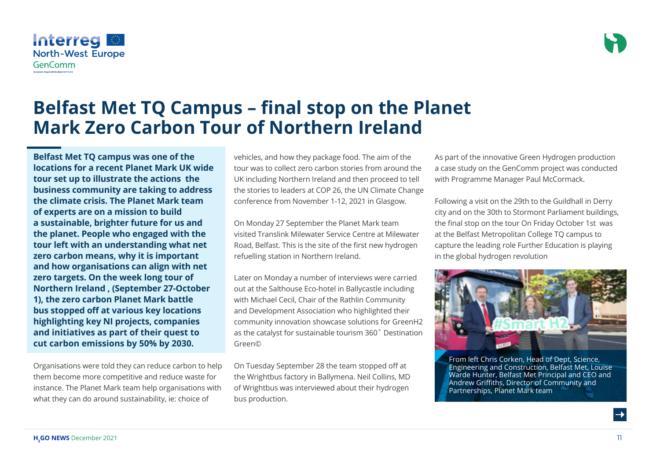#### Organisations were told they can reduce carbon to help them become more competitive and reduce waste for instance. The Planet Mark team help organisations with what they can do around sustainability, ie: choice of

vehicles, and how they package food. The aim of the tour was to collect zero carbon stories from around the UK including Northern Ireland and then proceed to tell the stories to leaders at COP 26, the UN Climate Change conference from November 1-12, 2021 in Glasgow.

**Belfast Met TQ Campus – final stop on the Planet** 

**Mark Zero Carbon Tour of Northern Ireland**

On Monday 27 September the Planet Mark team visited Translink Milewater Service Centre at Milewater Road, Belfast. This is the site of the first new hydrogen refuelling station in Northern Ireland.

Later on Monday a number of interviews were carried out at the Salthouse Eco-hotel in Ballycastle including with Michael Cecil, Chair of the Rathlin Community and Development Association who highlighted their community innovation showcase solutions for GreenH2 as the catalyst for sustainable tourism 360˚ Destination Green©

On Tuesday September 28 the team stopped off at the Wrightbus factory in Ballymena. Neil Collins, MD of Wrightbus was interviewed about their hydrogen bus production.

As part of the innovative Green Hydrogen production a case study on the GenComm project was conducted with Programme Manager Paul McCormack.

Following a visit on the 29th to the Guildhall in Derry city and on the 30th to Stormont Parliament buildings, the final stop on the tour On Friday October 1st was at the Belfast Metropolitan College TQ campus to capture the leading role Further Education is playing in the global hydrogen revolution

From left Chris Corken, Head of Dept, Science, Engineering and Construction, Belfast Met, Louise Warde Hunter, Belfast Met Principal and CEO and Andrew Griffiths, Director of Community and Partnerships, Planet Mark team



**Belfast Met TQ campus was one of the locations for a recent Planet Mark UK wide tour set up to illustrate the actions the business community are taking to address the climate crisis. The Planet Mark team** 

**of experts are on a mission to build a sustainable, brighter future for us and the planet. People who engaged with the tour left with an understanding what net zero carbon means, why it is important and how organisations can align with net zero targets. On the week long tour of Northern Ireland , (September 27-October 1), the zero carbon Planet Mark battle bus stopped off at various key locations highlighting key NI projects, companies and initiatives as part of their quest to cut carbon emissions by 50% by 2030.** 

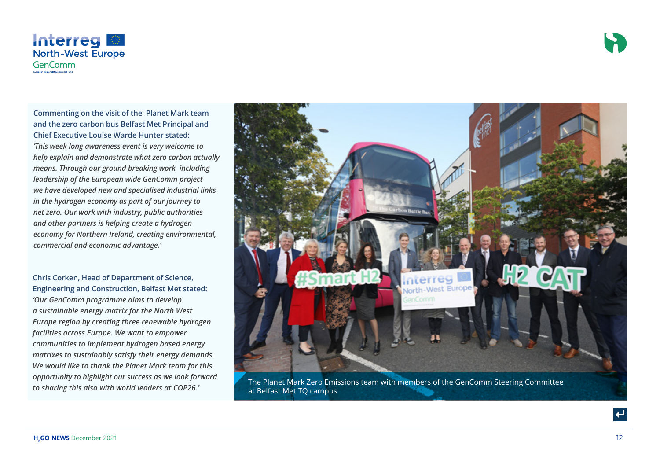



**Commenting on the visit of the Planet Mark team and the zero carbon bus Belfast Met Principal and Chief Executive Louise Warde Hunter stated:** *'This week long awareness event is very welcome to help explain and demonstrate what zero carbon actually means. Through our ground breaking work including leadership of the European wide GenComm project we have developed new and specialised industrial links in the hydrogen economy as part of our journey to net zero. Our work with industry, public authorities and other partners is helping create a hydrogen economy for Northern Ireland, creating environmental, commercial and economic advantage.'*

**Chris Corken, Head of Department of Science, Engineering and Construction, Belfast Met stated:** *'Our GenComm programme aims to develop a sustainable energy matrix for the North West Europe region by creating three renewable hydrogen facilities across Europe. We want to empower communities to implement hydrogen based energy matrixes to sustainably satisfy their energy demands. We would like to thank the Planet Mark team for this opportunity to highlight our success as we look forward* 



*to sharing to inginight our success as we look Johnand* The Planet Mark Zero Emissions team with members of the GenComm Steering Committee to sharing this also with world leaders at COP26.' at Belfast Met TQ campus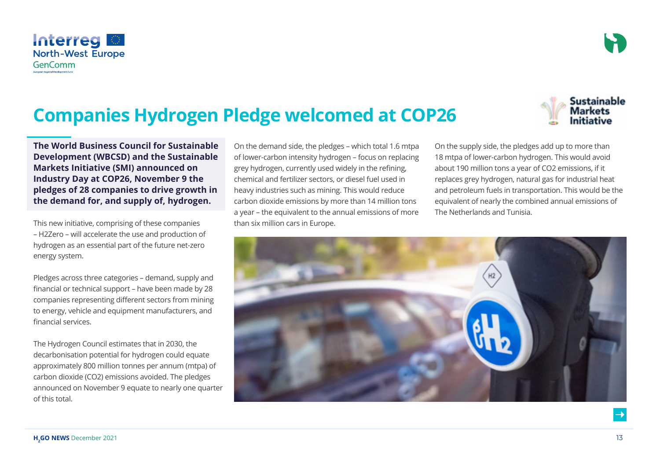## **Companies Hydrogen Pledge welcomed at COP26**



This new initiative, comprising of these companies – H2Zero – will accelerate the use and production of hydrogen as an essential part of the future net-zero energy system.

Pledges across three categories – demand, supply and financial or technical support – have been made by 28 companies representing different sectors from mining to energy, vehicle and equipment manufacturers, and financial services.

The Hydrogen Council estimates that in 2030, the decarbonisation potential for hydrogen could equate approximately 800 million tonnes per annum (mtpa) of carbon dioxide (CO2) emissions avoided. The pledges announced on November 9 equate to nearly one quarter of this total.

On the demand side, the pledges – which total 1.6 mtpa of lower-carbon intensity hydrogen – focus on replacing grey hydrogen, currently used widely in the refining, chemical and fertilizer sectors, or diesel fuel used in heavy industries such as mining. This would reduce carbon dioxide emissions by more than 14 million tons a year – the equivalent to the annual emissions of more than six million cars in Europe.

On the supply side, the pledges add up to more than 18 mtpa of lower-carbon hydrogen. This would avoid about 190 million tons a year of CO2 emissions, if it replaces grey hydrogen, natural gas for industrial heat and petroleum fuels in transportation. This would be the equivalent of nearly the combined annual emissions of The Netherlands and Tunisia.





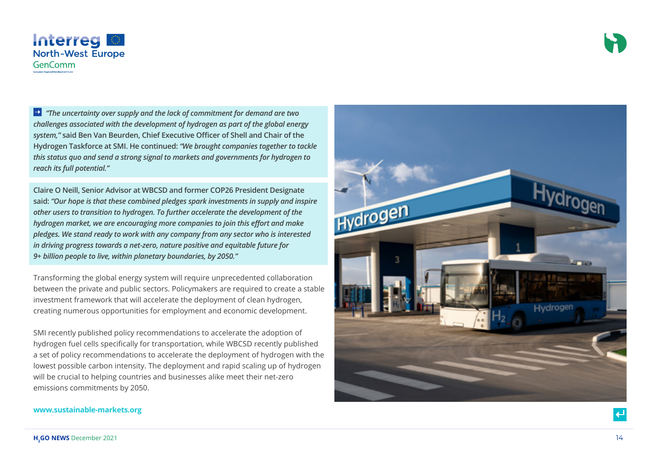



 *"The uncertainty over supply and the lack of commitment for demand are two challenges associated with the development of hydrogen as part of the global energy system,"* **said Ben Van Beurden, Chief Executive Officer of Shell and Chair of the Hydrogen Taskforce at SMI. He continued:** *"We brought companies together to tackle this status quo and send a strong signal to markets and governments for hydrogen to reach its full potential."*

**Claire O Neill, Senior Advisor at WBCSD and former COP26 President Designate said:** *"Our hope is that these combined pledges spark investments in supply and inspire other users to transition to hydrogen. To further accelerate the development of the hydrogen market, we are encouraging more companies to join this effort and make pledges. We stand ready to work with any company from any sector who is interested in driving progress towards a net-zero, nature positive and equitable future for 9+ billion people to live, within planetary boundaries, by 2050."*

Transforming the global energy system will require unprecedented collaboration between the private and public sectors. Policymakers are required to create a stable investment framework that will accelerate the deployment of clean hydrogen, creating numerous opportunities for employment and economic development.

SMI recently published policy recommendations to accelerate the adoption of hydrogen fuel cells specifically for transportation, while WBCSD recently published a set of policy recommendations to accelerate the deployment of hydrogen with the lowest possible carbon intensity. The deployment and rapid scaling up of hydrogen will be crucial to helping countries and businesses alike meet their net-zero emissions commitments by 2050.



#### **www.sustainable-markets.org**